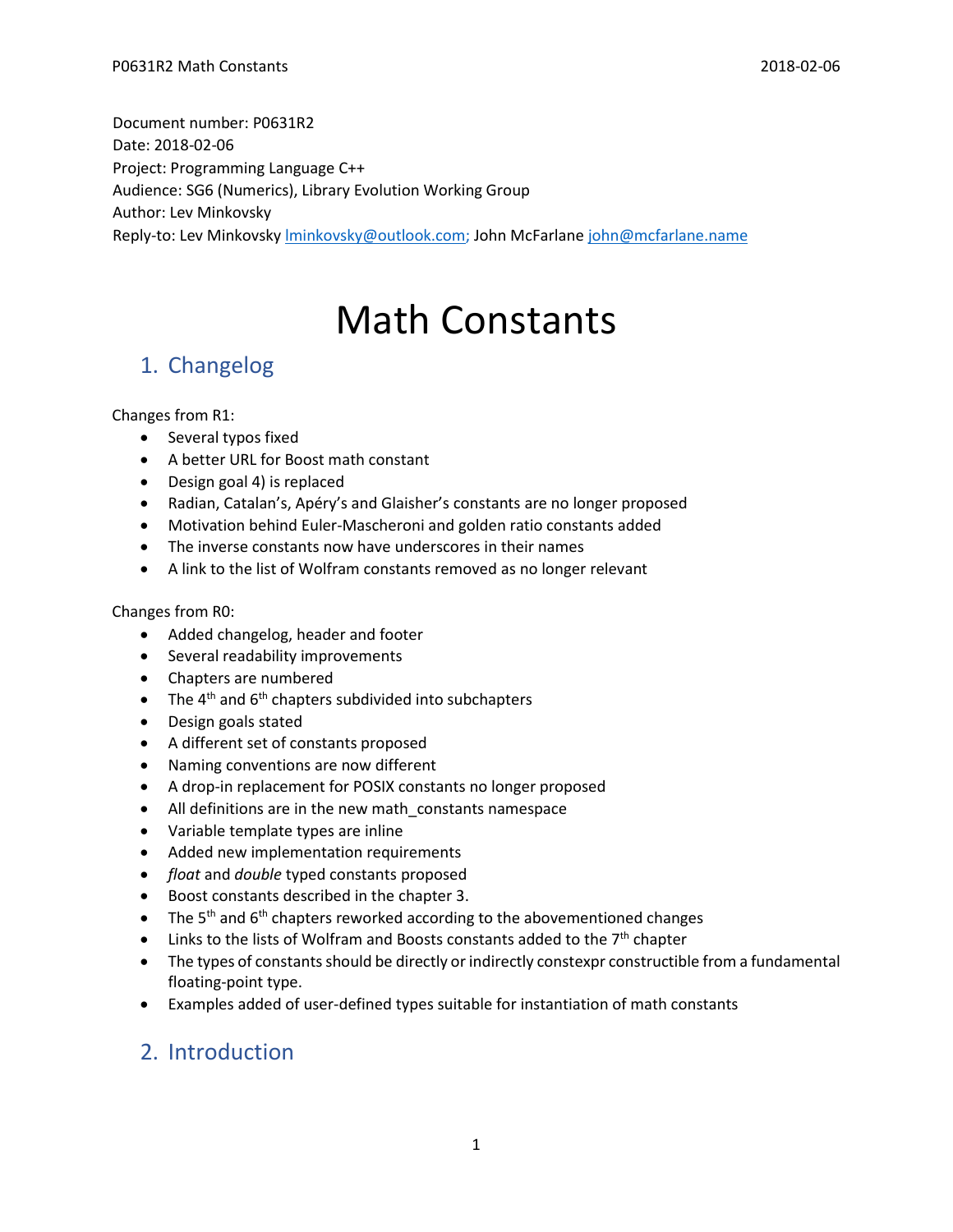Document number: P0631R2 Date: 2018-02-06 Project: Programming Language C++ Audience: SG6 (Numerics), Library Evolution Working Group Author: Lev Minkovsky Reply-to: Lev Minkovsky *Iminkovsky@outlook.com; John McFarlane [john@mcfarlane.name](mailto:lminkovsky@outlook.com)* 

# Math Constants

## 1. Changelog

Changes from R1:

- Several typos fixed
- A better URL for Boost math constant
- Design goal 4) is replaced
- Radian, Catalan's, Apéry's and Glaisher's constants are no longer proposed
- Motivation behind Euler-Mascheroni and golden ratio constants added
- The inverse constants now have underscores in their names
- A link to the list of Wolfram constants removed as no longer relevant

#### Changes from R0:

- Added changelog, header and footer
- Several readability improvements
- Chapters are numbered
- $\bullet$  The 4<sup>th</sup> and 6<sup>th</sup> chapters subdivided into subchapters
- Design goals stated
- A different set of constants proposed
- Naming conventions are now different
- A drop-in replacement for POSIX constants no longer proposed
- All definitions are in the new math constants namespace
- Variable template types are inline
- Added new implementation requirements
- *float* and *double* typed constants proposed
- Boost constants described in the chapter 3.
- The 5<sup>th</sup> and 6<sup>th</sup> chapters reworked according to the abovementioned changes
- $\bullet$  Links to the lists of Wolfram and Boosts constants added to the  $7<sup>th</sup>$  chapter
- The types of constants should be directly or indirectly constexpr constructible from a fundamental floating-point type.
- Examples added of user-defined types suitable for instantiation of math constants

### 2. Introduction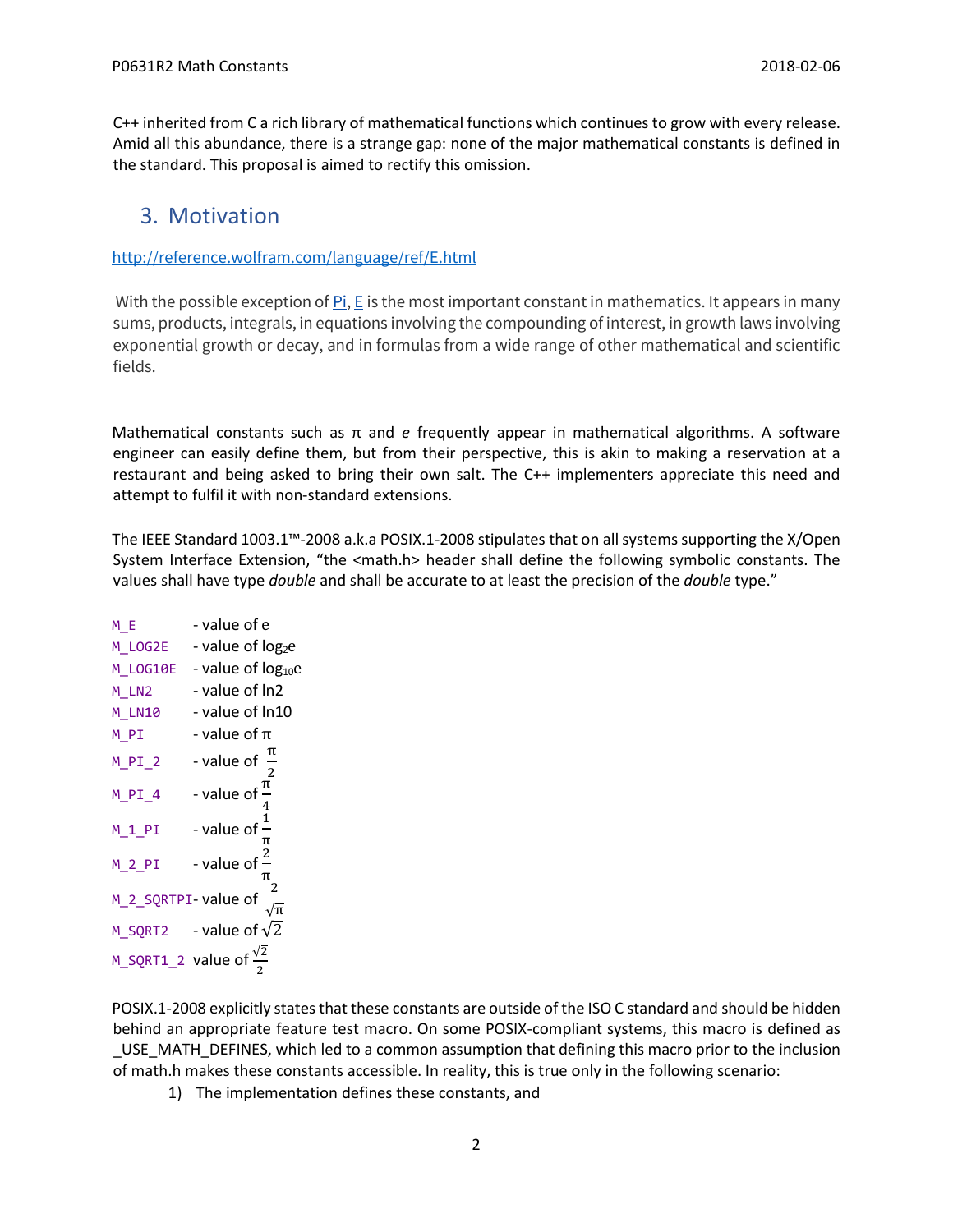C++ inherited from C a rich library of mathematical functions which continues to grow with every release. Amid all this abundance, there is a strange gap: none of the major mathematical constants is defined in the standard. This proposal is aimed to rectify this omission.

### 3. Motivation

<http://reference.wolfram.com/language/ref/E.html>

With the possible exception of [Pi,](http://reference.wolfram.com/language/ref/Pi.html) [E](http://reference.wolfram.com/language/ref/E.html) is the most important constant in mathematics. It appears in many sums, products, integrals, in equations involving the compounding of interest, in growth laws involving exponential growth or decay, and in formulas from a wide range of other mathematical and scientific fields.

Mathematical constants such as π and *e* frequently appear in mathematical algorithms. A software engineer can easily define them, but from their perspective, this is akin to making a reservation at a restaurant and being asked to bring their own salt. The C++ implementers appreciate this need and attempt to fulfil it with non-standard extensions.

The IEEE Standard 1003.1™-2008 a.k.a POSIX.1-2008 stipulates that on all systems supporting the X/Open System Interface Extension, "the <math.h> header shall define the following symbolic constants. The values shall have type *double* and shall be accurate to at least the precision of the *double* type."

| M E      | - value of e                             |
|----------|------------------------------------------|
| M LOG2E  | - value of log <sub>2</sub> e            |
| M LOG10E | - value of log <sub>10</sub> e           |
| M LN2    | - value of In2                           |
| M LN10   | - value of In10                          |
| M PI     | - value of $\pi$                         |
| $M_PI_2$ | - value of $\frac{\pi}{2}$               |
| M PI 4   | - value of $\frac{\pi}{4}$               |
| $M_1PI$  | - value of $\frac{1}{2}$<br>π            |
| $M_2PI$  | - value of $\frac{2}{3}$                 |
|          | M_2_SQRTPI-value of $\frac{2}{\sqrt{2}}$ |
|          | M_SQRT2 - value of $\sqrt{2}$            |
|          | M_SQRT1_2 value of $\frac{\sqrt{2}}{2}$  |

POSIX.1-2008 explicitly states that these constants are outside of the ISO C standard and should be hidden behind an appropriate feature test macro. On some POSIX-compliant systems, this macro is defined as \_USE\_MATH\_DEFINES, which led to a common assumption that defining this macro prior to the inclusion of math.h makes these constants accessible. In reality, this is true only in the following scenario:

1) The implementation defines these constants, and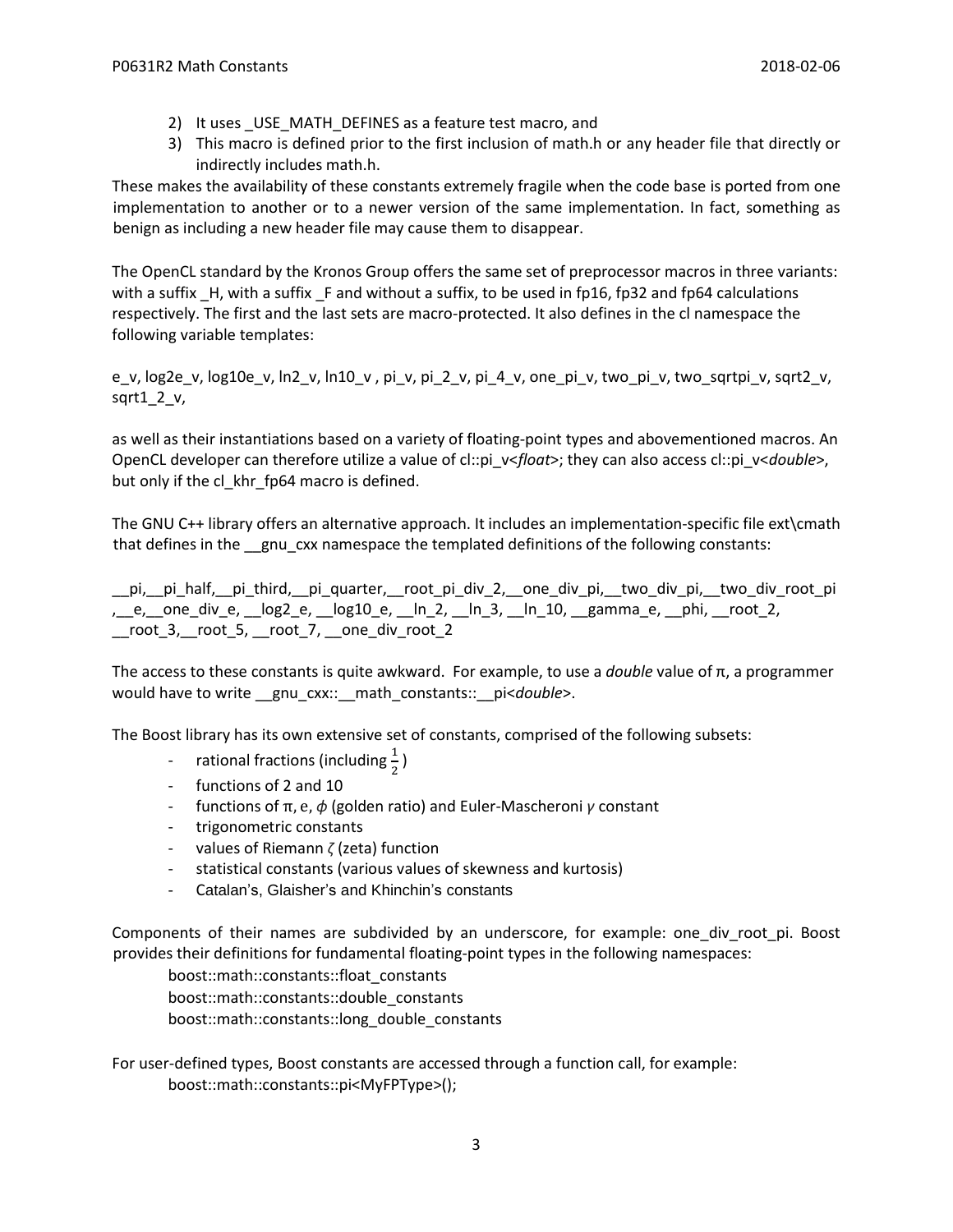- 2) It uses USE\_MATH\_DEFINES as a feature test macro, and
- 3) This macro is defined prior to the first inclusion of math.h or any header file that directly or indirectly includes math.h.

These makes the availability of these constants extremely fragile when the code base is ported from one implementation to another or to a newer version of the same implementation. In fact, something as benign as including a new header file may cause them to disappear.

The OpenCL standard by the Kronos Group offers the same set of preprocessor macros in three variants: with a suffix H, with a suffix F and without a suffix, to be used in fp16, fp32 and fp64 calculations respectively. The first and the last sets are macro-protected. It also defines in the cl namespace the following variable templates:

e\_v, log2e\_v, log10e\_v, ln2\_v, ln10\_v , pi\_v, pi\_2\_v, pi\_4\_v, one\_pi\_v, two\_pi\_v, two\_sqrtpi\_v, sqrt2\_v, sqrt $12v$ ,

as well as their instantiations based on a variety of floating-point types and abovementioned macros. An OpenCL developer can therefore utilize a value of cl::pi\_v<*float*>; they can also access cl::pi\_v<*double*>, but only if the cl\_khr\_fp64 macro is defined.

The GNU C++ library offers an alternative approach. It includes an implementation-specific file ext\cmath that defines in the \_\_gnu\_cxx namespace the templated definitions of the following constants:

\_\_pi,\_\_pi\_half,\_\_pi\_third,\_\_pi\_quarter,\_\_root\_pi\_div\_2,\_\_one\_div\_pi,\_\_two\_div\_pi,\_\_two\_div\_root\_pi , e, one div e,  $log2$  e,  $log10$  e,  $ln 2$ ,  $ln 3$ ,  $ln 10$ , gamma e,  $phi$ , root 2, \_\_root\_3,\_\_root\_5, \_\_root\_7, \_\_one\_div\_root\_2

The access to these constants is quite awkward. For example, to use a *double* value of π, a programmer would have to write \_\_gnu\_cxx::\_\_math\_constants::\_\_pi<*double*>.

The Boost library has its own extensive set of constants, comprised of the following subsets:

- rational fractions (including  $\frac{1}{2}$ )
- functions of 2 and 10
- functions of π, e, *ϕ* (golden ratio) and Euler-Mascheroni *γ* constant
- trigonometric constants
- values of Riemann *ζ* (zeta) function
- statistical constants (various values of skewness and kurtosis)
- Catalan's, Glaisher's and Khinchin's constants

Components of their names are subdivided by an underscore, for example: one div root pi. Boost provides their definitions for fundamental floating-point types in the following namespaces:

boost::math::constants::float\_constants boost::math::constants::double\_constants boost::math::constants::long\_double\_constants

For user-defined types, Boost constants are accessed through a function call, for example: boost::math::constants::pi<MyFPType>();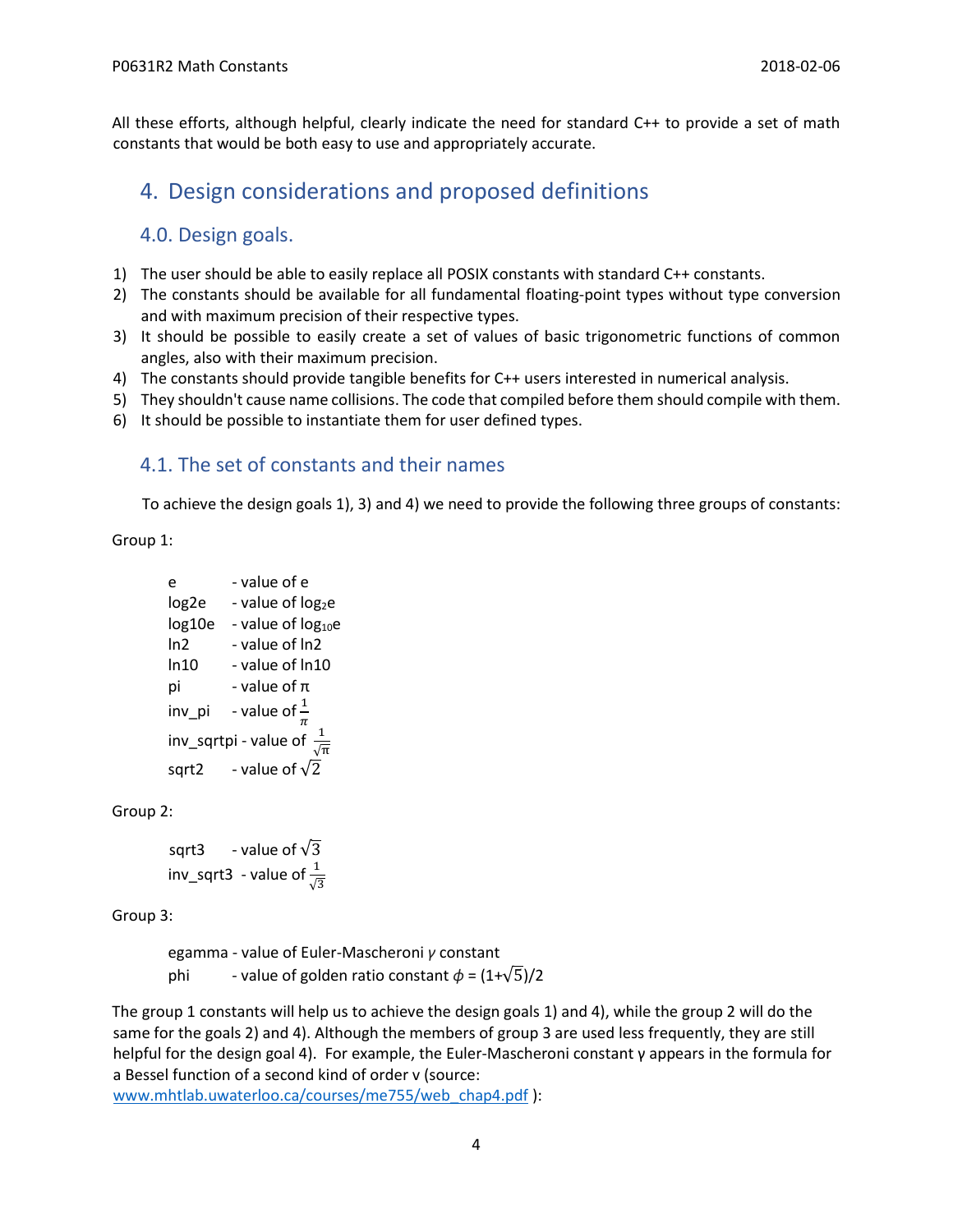All these efforts, although helpful, clearly indicate the need for standard C++ to provide a set of math constants that would be both easy to use and appropriately accurate.

### 4. Design considerations and proposed definitions

### 4.0. Design goals.

- 1) The user should be able to easily replace all POSIX constants with standard C++ constants.
- 2) The constants should be available for all fundamental floating-point types without type conversion and with maximum precision of their respective types.
- 3) It should be possible to easily create a set of values of basic trigonometric functions of common angles, also with their maximum precision.
- 4) The constants should provide tangible benefits for C++ users interested in numerical analysis.
- 5) They shouldn't cause name collisions. The code that compiled before them should compile with them.
- 6) It should be possible to instantiate them for user defined types.

### 4.1. The set of constants and their names

To achieve the design goals 1), 3) and 4) we need to provide the following three groups of constants:

Group 1:

```
e - value of e 
log2e - value of log_2elog 10e - value of log_{10}eln2 - value of ln2
ln10 - value of ln10
pi - value of πinv_pi - value of \frac{1}{\pi}inv_sqrtpi - value of \frac{1}{\sqrt{\pi}} 
sqrt2 - value of \sqrt{2}
```
Group 2:

```
sqrt3 - value of \sqrt{3}inv_sqrt3 - value of \frac{1}{\sqrt{3}}
```
Group 3:

egamma - value of Euler-Mascheroni *γ* constant phi - value of golden ratio constant  $\phi = (1+\sqrt{5})/2$ 

The group 1 constants will help us to achieve the design goals 1) and 4), while the group 2 will do the same for the goals 2) and 4). Although the members of group 3 are used less frequently, they are still helpful for the design goal 4). For example, the Euler-Mascheroni constant γ appears in the formula for a Bessel function of a second kind of order v (source:

[www.mhtlab.uwaterloo.ca/courses/me755/web\\_chap4.pdf](http://www.mhtlab.uwaterloo.ca/courses/me755/web_chap4.pdf) ):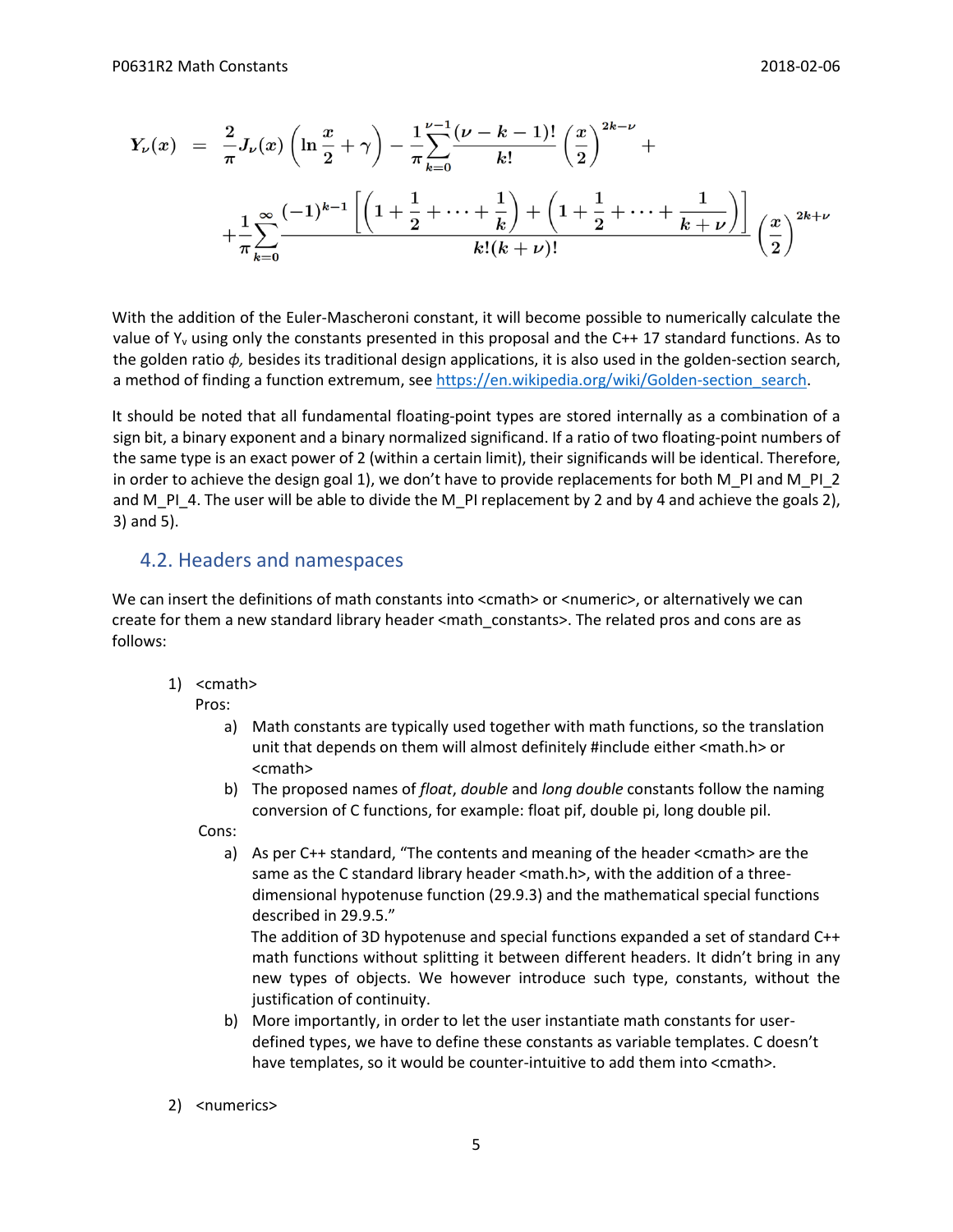$$
Y_{\nu}(x) = \frac{2}{\pi} J_{\nu}(x) \left( \ln \frac{x}{2} + \gamma \right) - \frac{1}{\pi} \sum_{k=0}^{\nu-1} \frac{(\nu - k - 1)!}{k!} \left( \frac{x}{2} \right)^{2k - \nu} +
$$
  
+ 
$$
\frac{1}{\pi} \sum_{k=0}^{\infty} \frac{(-1)^{k-1} \left[ \left( 1 + \frac{1}{2} + \dots + \frac{1}{k} \right) + \left( 1 + \frac{1}{2} + \dots + \frac{1}{k + \nu} \right) \right]}{k! (k + \nu)!} \left( \frac{x}{2} \right)^{2k + \nu}
$$

With the addition of the Euler-Mascheroni constant, it will become possible to numerically calculate the value of  $Y_v$  using only the constants presented in this proposal and the C++ 17 standard functions. As to the golden ratio *ϕ,* besides its traditional design applications, it is also used in the golden-section search, a method of finding a function extremum, see https://en.wikipedia.org/wiki/Golden-section search.

It should be noted that all fundamental floating-point types are stored internally as a combination of a sign bit, a binary exponent and a binary normalized significand. If a ratio of two floating-point numbers of the same type is an exact power of 2 (within a certain limit), their significands will be identical. Therefore, in order to achieve the design goal 1), we don't have to provide replacements for both M\_PI and M\_PI\_2 and M\_PI\_4. The user will be able to divide the M\_PI replacement by 2 and by 4 and achieve the goals 2), 3) and 5).

### 4.2. Headers and namespaces

We can insert the definitions of math constants into <cmath> or <numeric>, or alternatively we can create for them a new standard library header <math\_constants>. The related pros and cons are as follows:

1) <cmath>

Pros:

- a) Math constants are typically used together with math functions, so the translation unit that depends on them will almost definitely #include either <math.h> or <cmath>
- b) The proposed names of *float*, *double* and *long double* constants follow the naming conversion of C functions, for example: float pif, double pi, long double pil.

Cons:

a) As per C++ standard, "The contents and meaning of the header <cmath> are the same as the C standard library header <math.h>, with the addition of a threedimensional hypotenuse function (29.9.3) and the mathematical special functions described in 29.9.5."

The addition of 3D hypotenuse and special functions expanded a set of standard C++ math functions without splitting it between different headers. It didn't bring in any new types of objects. We however introduce such type, constants, without the justification of continuity.

- b) More importantly, in order to let the user instantiate math constants for userdefined types, we have to define these constants as variable templates. C doesn't have templates, so it would be counter-intuitive to add them into <cmath>.
- 2) <numerics>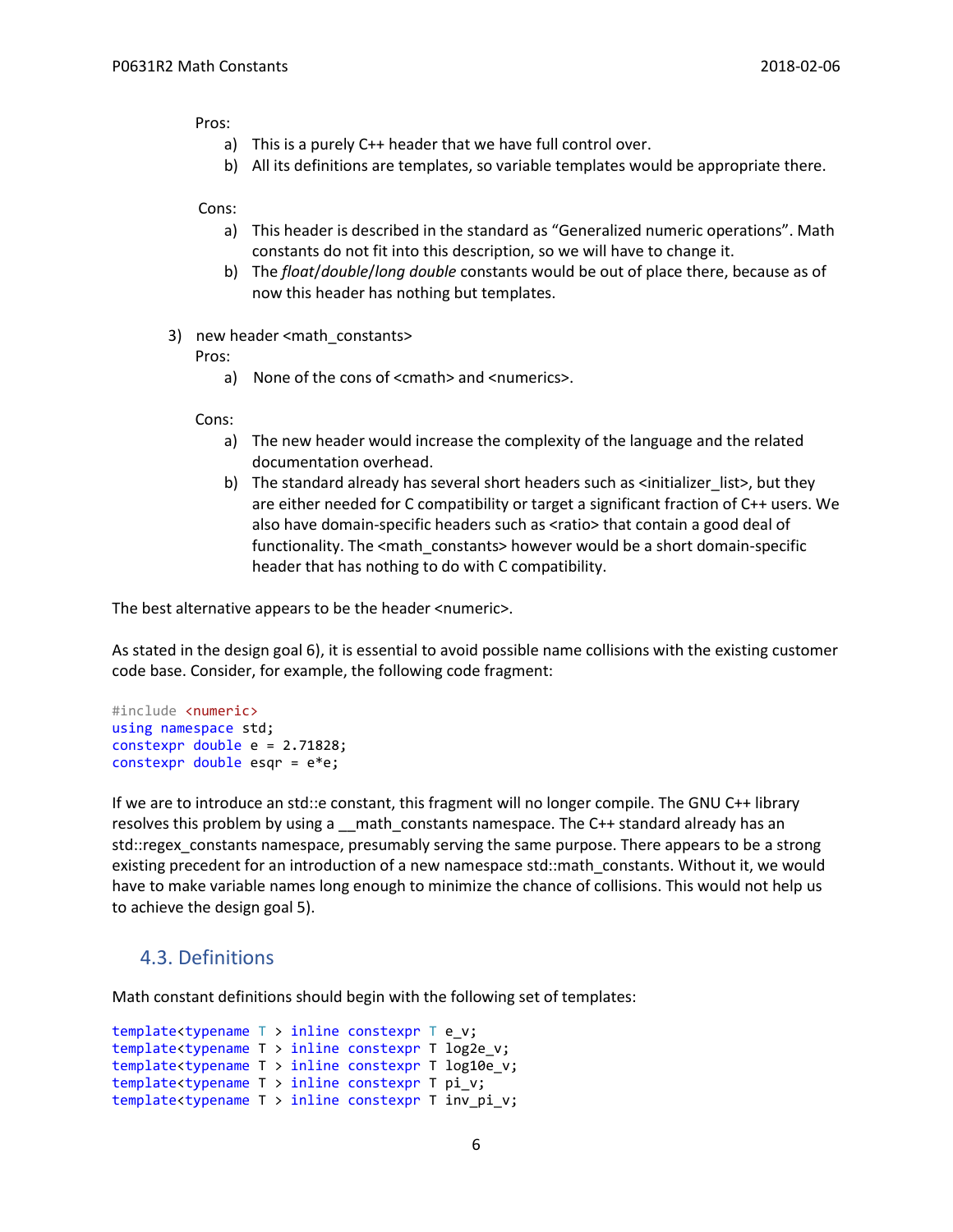Pros:

- a) This is a purely C++ header that we have full control over.
- b) All its definitions are templates, so variable templates would be appropriate there.

Cons:

- a) This header is described in the standard as "Generalized numeric operations". Math constants do not fit into this description, so we will have to change it.
- b) The *float*/*double*/*long double* constants would be out of place there, because as of now this header has nothing but templates.
- 3) new header <math\_constants>

Pros:

a) None of the cons of <cmath> and <numerics>.

Cons:

- a) The new header would increase the complexity of the language and the related documentation overhead.
- b) The standard already has several short headers such as <initializer list>, but they are either needed for C compatibility or target a significant fraction of C++ users. We also have domain-specific headers such as <ratio> that contain a good deal of functionality. The <math\_constants> however would be a short domain-specific header that has nothing to do with C compatibility.

The best alternative appears to be the header <numeric>.

As stated in the design goal 6), it is essential to avoid possible name collisions with the existing customer code base. Consider, for example, the following code fragment:

```
#include <numeric>
using namespace std;
constexpr double e = 2.71828;
constexpr double esqr = e*e;
```
If we are to introduce an std::e constant, this fragment will no longer compile. The GNU C++ library resolves this problem by using a \_\_math\_constants namespace. The C++ standard already has an std::regex\_constants namespace, presumably serving the same purpose. There appears to be a strong existing precedent for an introduction of a new namespace std::math constants. Without it, we would have to make variable names long enough to minimize the chance of collisions. This would not help us to achieve the design goal 5).

#### 4.3. Definitions

Math constant definitions should begin with the following set of templates:

```
template<typename T > inline constexpr T e_v;
template<typename T > inline constexpr T log2e_v;
template<typename T > inline constexpr T log10e_v;
template<typename T > inline constexpr T pi_v;
template<typename T > inline constexpr T inv_pi_v;
```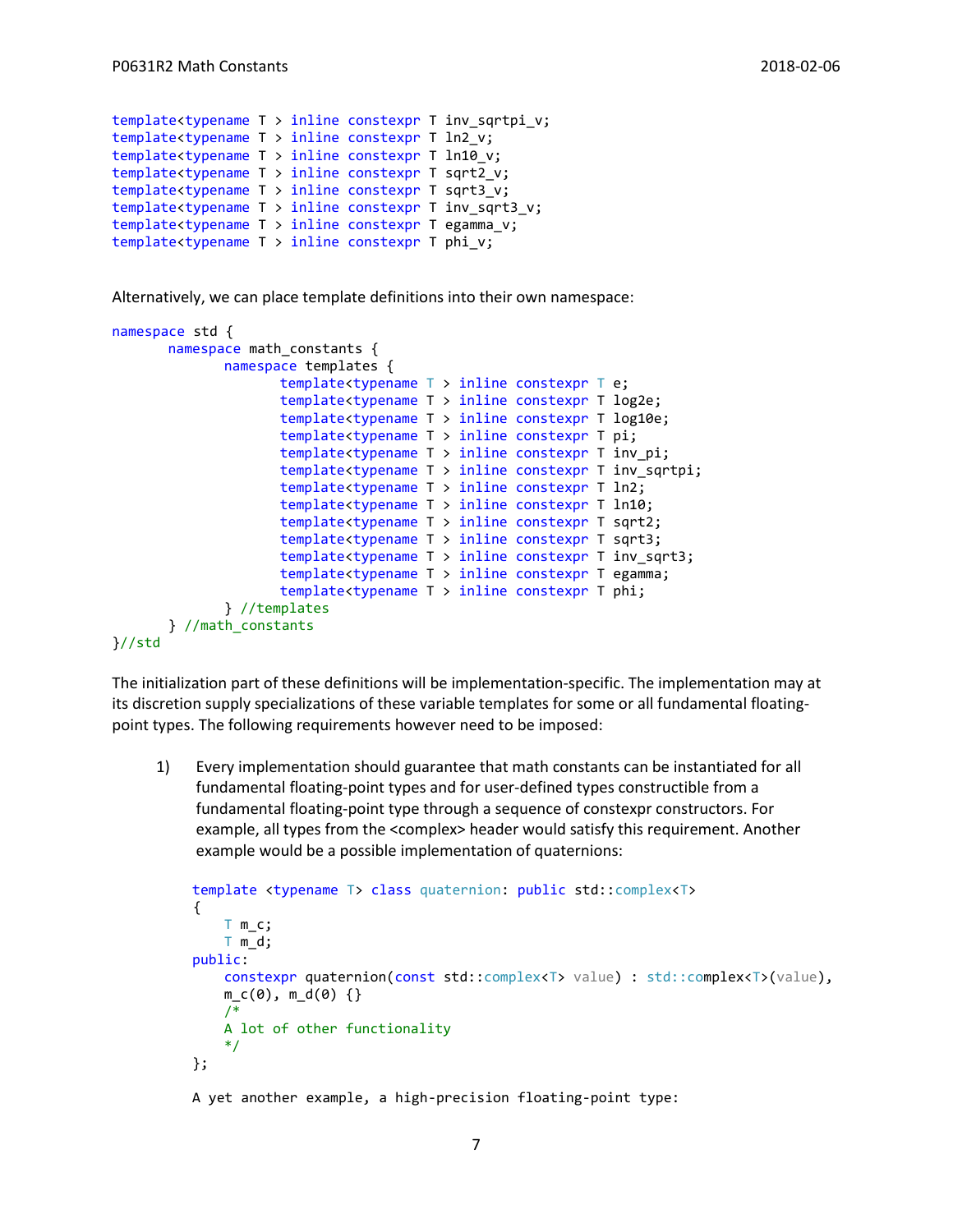```
template<typename T > inline constexpr T inv_sqrtpi_v;
template<typename T > inline constexpr T ln2_v;
template<typename T > inline constexpr T ln10_v;
template<typename T > inline constexpr T sqrt2_v;
template<typename T > inline constexpr T sqrt3_v;
template<typename T > inline constexpr T inv sqrt3 v;
template<typename T > inline constexpr T egamma v;
template<typename T > inline constexpr T phi v;
```
Alternatively, we can place template definitions into their own namespace:

```
namespace std {
       namespace math constants {
              namespace templates {
                     template<typename T > inline constexpr T e;
                     template<typename T > inline constexpr T log2e;
                     template<typename T > inline constexpr T log10e;
                     template<typename T > inline constexpr T pi;
                     template<typename T > inline constexpr T inv_pi;
                     template<typename T > inline constexpr T inv_sqrtpi;
                     template<typename T > inline constexpr T ln2;
                     template<typename T > inline constexpr T ln10;
                     template<typename T > inline constexpr T sqrt2;
                     template<typename T > inline constexpr T sqrt3;
                     template<typename T > inline constexpr T inv_sqrt3;
                     template<typename T > inline constexpr T egamma;
                     template<typename T > inline constexpr T phi;
              } //templates
       } //math_constants
}//std
```
The initialization part of these definitions will be implementation-specific. The implementation may at its discretion supply specializations of these variable templates for some or all fundamental floatingpoint types. The following requirements however need to be imposed:

1) Every implementation should guarantee that math constants can be instantiated for all fundamental floating-point types and for user-defined types constructible from a fundamental floating-point type through a sequence of constexpr constructors. For example, all types from the <complex> header would satisfy this requirement. Another example would be a possible implementation of quaternions:

```
 template <typename T> class quaternion: public std::complex<T>
\{T m_c;
             T m_d;
          public:
             constexpr quaternion(const std::complex<T> value) : std::complex<T>(value), 
             m (0), m d(0) {}
             /* 
             A lot of other functionality
             */
          };
```
A yet another example, a high-precision floating-point type: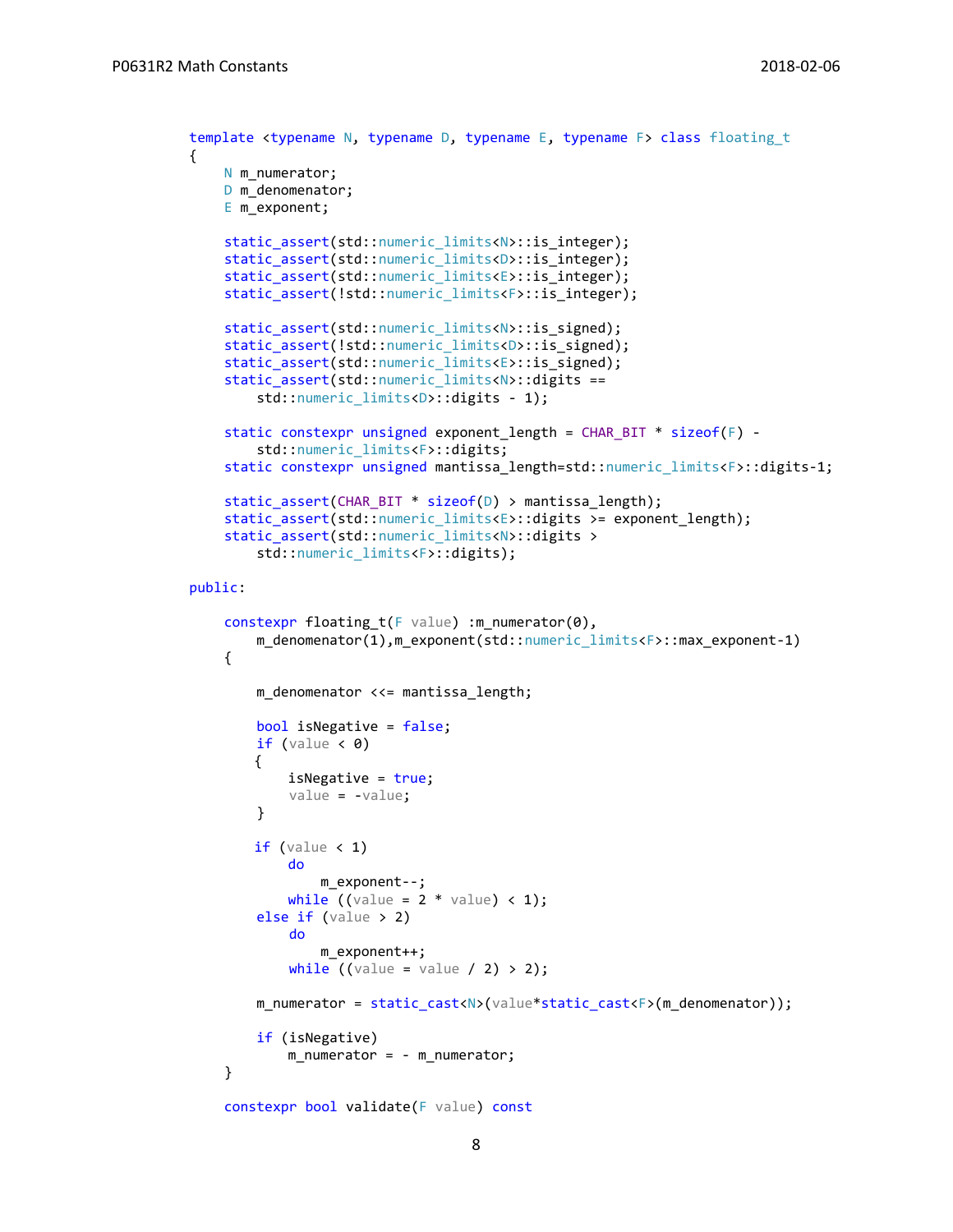```
template <typename N, typename D, typename E, typename F> class floating t
{
    N m_numerator;
    D m denomenator;
    E m_exponent;
    static assert(std::numeric limits<N>::is integer);
    static assert(std::numeric limits<D>::is integer);
    static_assert(std::numeric_limits<E>::is_integer);
    static_assert(!std::numeric_limits<F>::is_integer);
    static_assert(std::numeric_limits<N>::is_signed);
    static_assert(!std::numeric_limits<D>::is_signed);
    static_assert(std::numeric_limits<E>::is_signed);
    static_assert(std::numeric_limits<N>::digits == 
        std::numeric_limits<D>::digits - 1);
    static constexpr unsigned exponent_length = CHAR_BIT * sizeof(F) -
         std::numeric_limits<F>::digits;
    static constexpr unsigned mantissa length=std::numeric limits<F>::digits-1;
    static_assert(CHAR_BIT * sizeof(D) > mantissa_length);
    static_assert(std::numeric_limits<E>::digits >= exponent_length);
    static_assert(std::numeric_limits<N>::digits > 
         std::numeric_limits<F>::digits);
public:
    constexpr floating_t(F value) :m_numerator(0), 
         m_denomenator(1),m_exponent(std::numeric_limits<F>::max_exponent-1)
    {
         m_denomenator <<= mantissa_length;
         bool isNegative = false;
        if (value \langle 0 \rangle {
            isNegative = true;
             value = -value;
         }
        if (value < 1)do
                m exponent--;
            while ((value = 2 * value) < 1); else if (value > 2)
             do
                 m_exponent++;
            while ((value = value / 2) > 2); m_numerator = static_cast<N>(value*static_cast<F>(m_denomenator));
         if (isNegative)
             m_numerator = - m_numerator;
    }
    constexpr bool validate(F value) const
```
8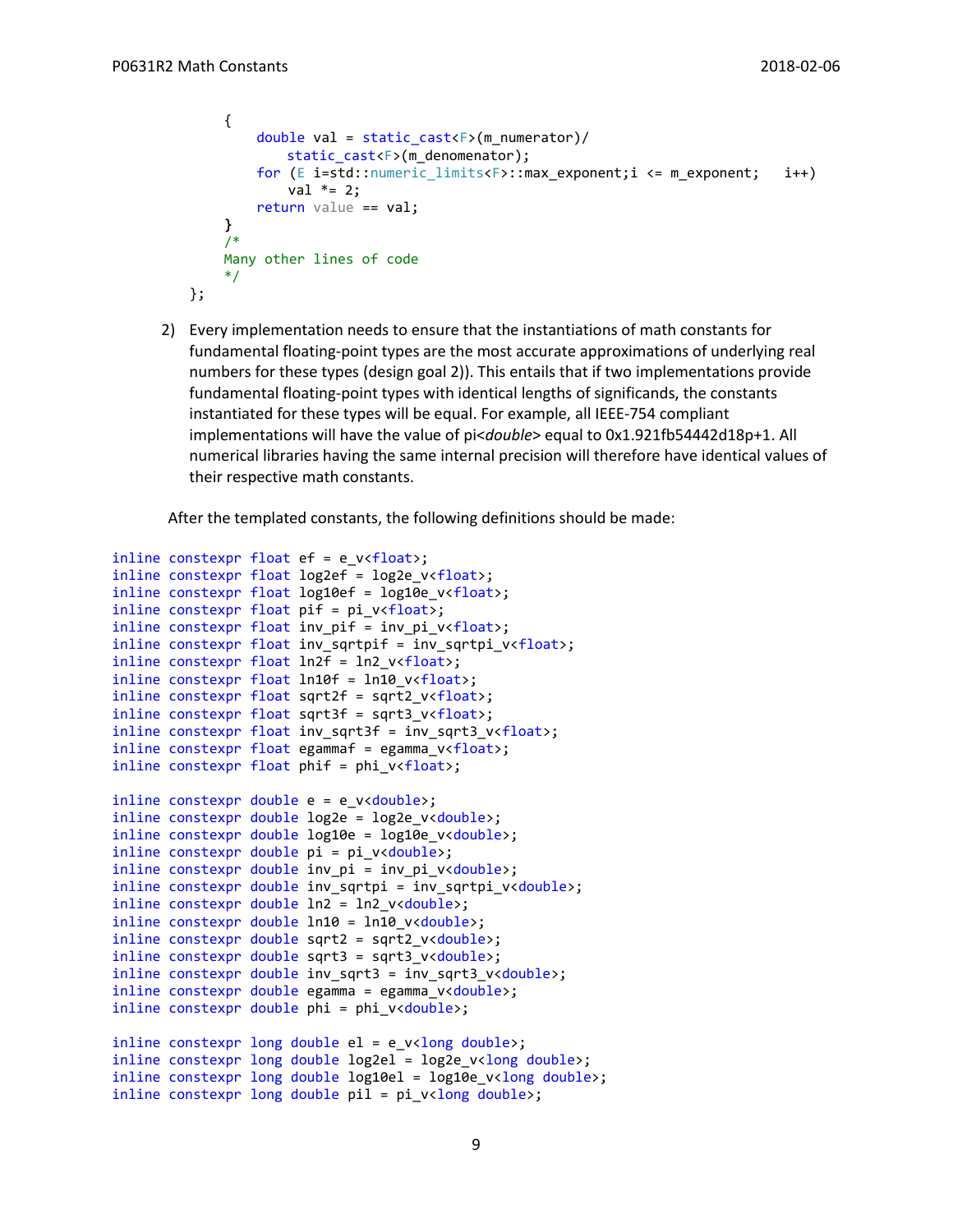```
{
        double val = static cast<F>(m_numerator)/
            static cast<F>(m denomenator);
         for (E i=std::numeric_limits<F>::max_exponent;i <= m_exponent; i++)
            val * = 2;return value == val;
    }
    /*
    Many other lines of code
    */
};
```
2) Every implementation needs to ensure that the instantiations of math constants for fundamental floating-point types are the most accurate approximations of underlying real numbers for these types (design goal 2)). This entails that if two implementations provide fundamental floating-point types with identical lengths of significands, the constants instantiated for these types will be equal. For example, all IEEE-754 compliant implementations will have the value of pi<*double*> equal to 0x1.921fb54442d18p+1. All numerical libraries having the same internal precision will therefore have identical values of their respective math constants.

After the templated constants, the following definitions should be made:

```
inline constexpr float ef = e v<float>;
inline constexpr float log2ef = log2e_v<float>;
inline constexpr float log10ef = log10e_v v<float>;
inline constexpr float pif = pi_v<float>;
inline constexpr float inv pif = inv pi v <float>;
inline constexpr float inv sqrtpif = inv sqrtpi v<float>;
inline constexpr float ln2f = ln2 v<float>;
inline constexpr float ln10f = ln10 v<float>;
inline constexpr float sqrt2f = sqrt2_v<float>;
inline constexpr float sqrt3f = sqrt3 v\timesfloat>;
inline \; contextpr \; float \; inv_sqrt3f = inv_sqrt3_vx+float;inline constexpr float egammaf = egamma_v<float>;
inline constexpr float phif = phi_v<float>;
inline constexpr double e = e v<double>;
inline constexpr double log2e = log2e v<double>;
inline constexpr double log10e = log10e_v<double>;
inline constexpr double pi = pi_v<double>;
inline constexpr double inv pi = inv pi v<double>;
inline constexpr double inv sqrtpi = inv sqrtpi v<double>;
inline constexpr double ln2 = ln2 v<double>;
inline constexpr double ln10 = ln10_v<double>;
inline constexpr double sqrt2 = sqrt2_v<double>;
inline constexpr double sqrt3 = sqrt3 v<double>;
inline constexpr double inv sqrt3 = inv sqrt3 v<double>;
inline constexpr double egamma = egamma v<double>;
inline constexpr double phi = phi v<double>;
inline constexpr long double el = e_v<long double>;
inline constexpr long double log2el = log2e_v<long double>;
inline constexpr long double log10el = log10e_v<long double>;
inline constexpr long double pil = pi_v<long double>;
```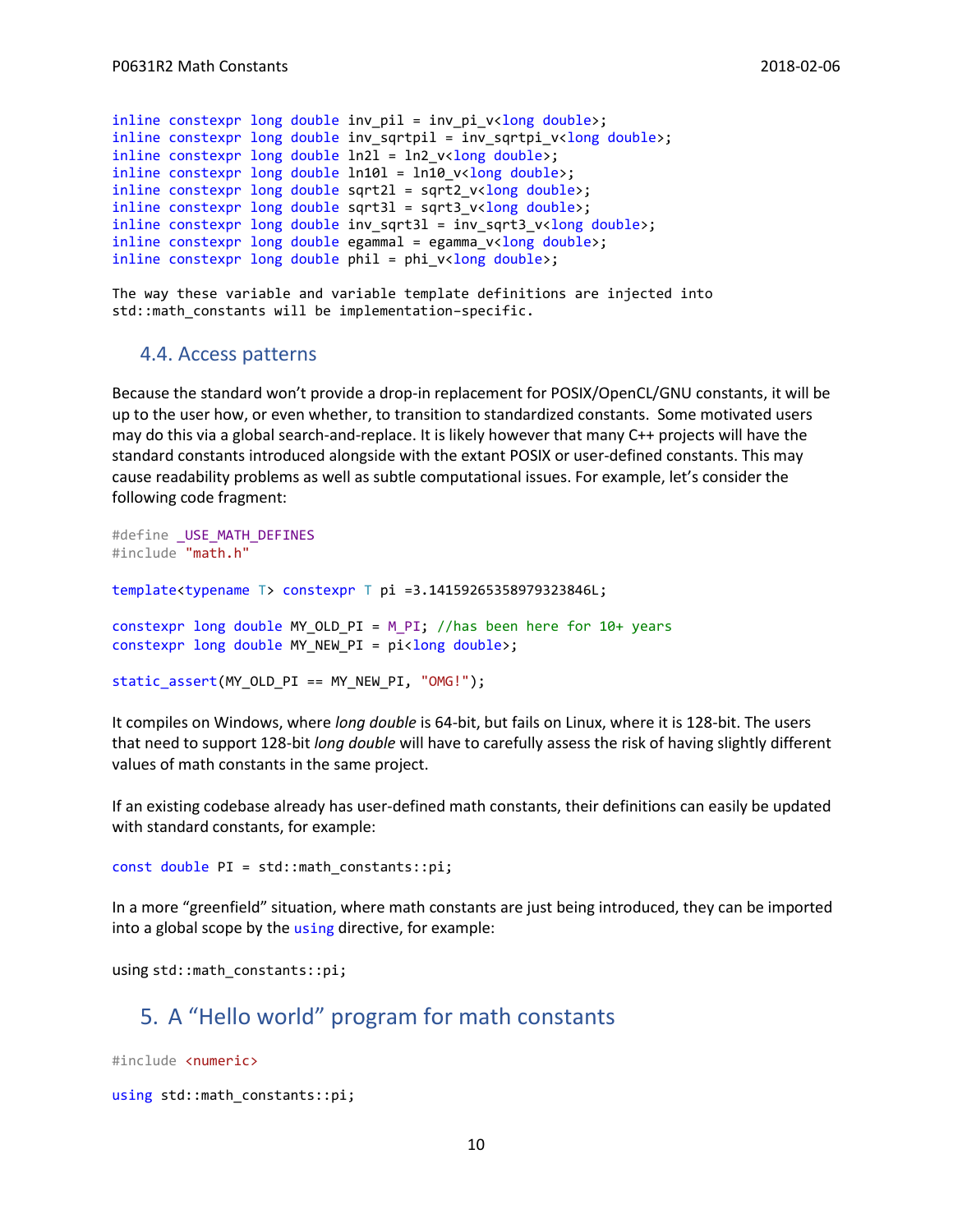```
inline constexpr long double inv_pil = inv_pi_v<long double>;
inline constexpr long double inv_sqrtpil = inv_sqrtpi_v<long double>;
inline constexpr long double ln21 = ln2 v<long double>;
inline constexpr long double ln101 = ln10_v v<long double>;
inline constexpr long double sqrt2l = sqrt2_v<long double>;
inline constexpr long double sqrt3l = sqrt3 v<long double>;
inline constexpr long double inv sqrt3l = inv sqrt3 v<long double>;
inline constexpr long double egammal = egamma v<long double>;
inline constexpr long double phil = phi v<long double>;
```
The way these variable and variable template definitions are injected into std::math constants will be implementation–specific.

#### 4.4. Access patterns

Because the standard won't provide a drop-in replacement for POSIX/OpenCL/GNU constants, it will be up to the user how, or even whether, to transition to standardized constants. Some motivated users may do this via a global search-and-replace. It is likely however that many C++ projects will have the standard constants introduced alongside with the extant POSIX or user-defined constants. This may cause readability problems as well as subtle computational issues. For example, let's consider the following code fragment:

```
#define _USE_MATH_DEFINES
#include "math.h"
template<typename T> constexpr T pi =3.14159265358979323846L;
constexpr long double MY_OLD_PI = M_PI; //has been here for 10+ years
constexpr long double MY NEW PI = pi<long double>;
static assert(MY OLD PI == MY NEW PI, "OMG!");
```
It compiles on Windows, where *long double* is 64-bit, but fails on Linux, where it is 128-bit. The users that need to support 128-bit *long double* will have to carefully assess the risk of having slightly different values of math constants in the same project.

If an existing codebase already has user-defined math constants, their definitions can easily be updated with standard constants, for example:

const double PI = std::math constants::pi;

In a more "greenfield" situation, where math constants are just being introduced, they can be imported into a global scope by the using directive, for example:

using std::math\_constants::pi;

### 5. A "Hello world" program for math constants

#include <numeric>

```
using std::math_constants::pi;
```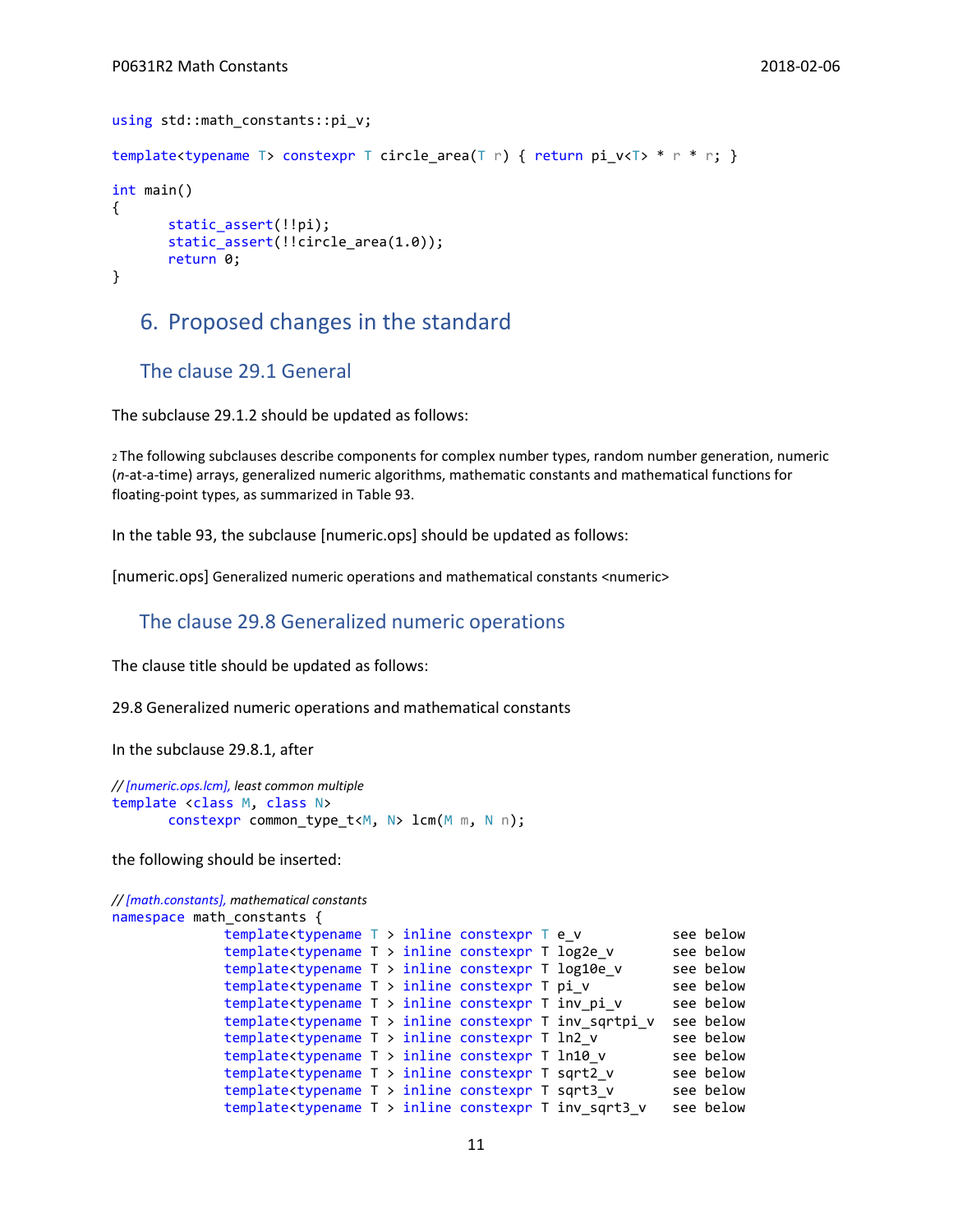```
using std::math_constants::pi_v;
template<typename T> constexpr T circle area(T r) { return pi v<T> * r * r; }
int main()
{
       static assert(!!pi);
       static assert(!!circle area(1.0));
       return 0;
}
```
### 6. Proposed changes in the standard

#### The clause 29.1 General

The subclause 29.1.2 should be updated as follows:

<sup>2</sup>The following subclauses describe components for complex number types, random number generation, numeric (*n*-at-a-time) arrays, generalized numeric algorithms, mathematic constants and mathematical functions for floating-point types, as summarized in Table 93.

In the table 93, the subclause [numeric.ops] should be updated as follows:

[numeric.ops] Generalized numeric operations and mathematical constants <numeric>

#### The clause 29.8 Generalized numeric operations

The clause title should be updated as follows:

29.8 Generalized numeric operations and mathematical constants

In the subclause 29.8.1, after

```
// [numeric.ops.lcm], least common multiple
template <class M, class N>
       constexpr common_type_t<M, N> lcm(M m, N n);
```
the following should be inserted:

```
// [math.constants], mathematical constants
```

```
namespace math constants {
```

```
template<typename T > inline constexpr T e_v see below
template<typename T > inline constexpr T log2e_v see below
template<typename T > inline constexpr T log10e_v see below<br>template<typename T > inline constexpr T pi v see below
template<typename T > inline constexpr T pi_v see below<br>template<typename T > inline constexpr T inv pi v see below
template<typename T > inline constexpr T inv pi v
template<typename T > inline constexpr T inv sqrtpi v see below
template<typename T > inline constexpr T ln2_v see below
template<typename T > inline constexpr T ln10_v see below
template<typename T > inline constexpr T sqrt2_v see below
template<typename T > inline constexpr T sqrt3_v see below
template<typename T > inline constexpr T inv sqrt3 v see below
```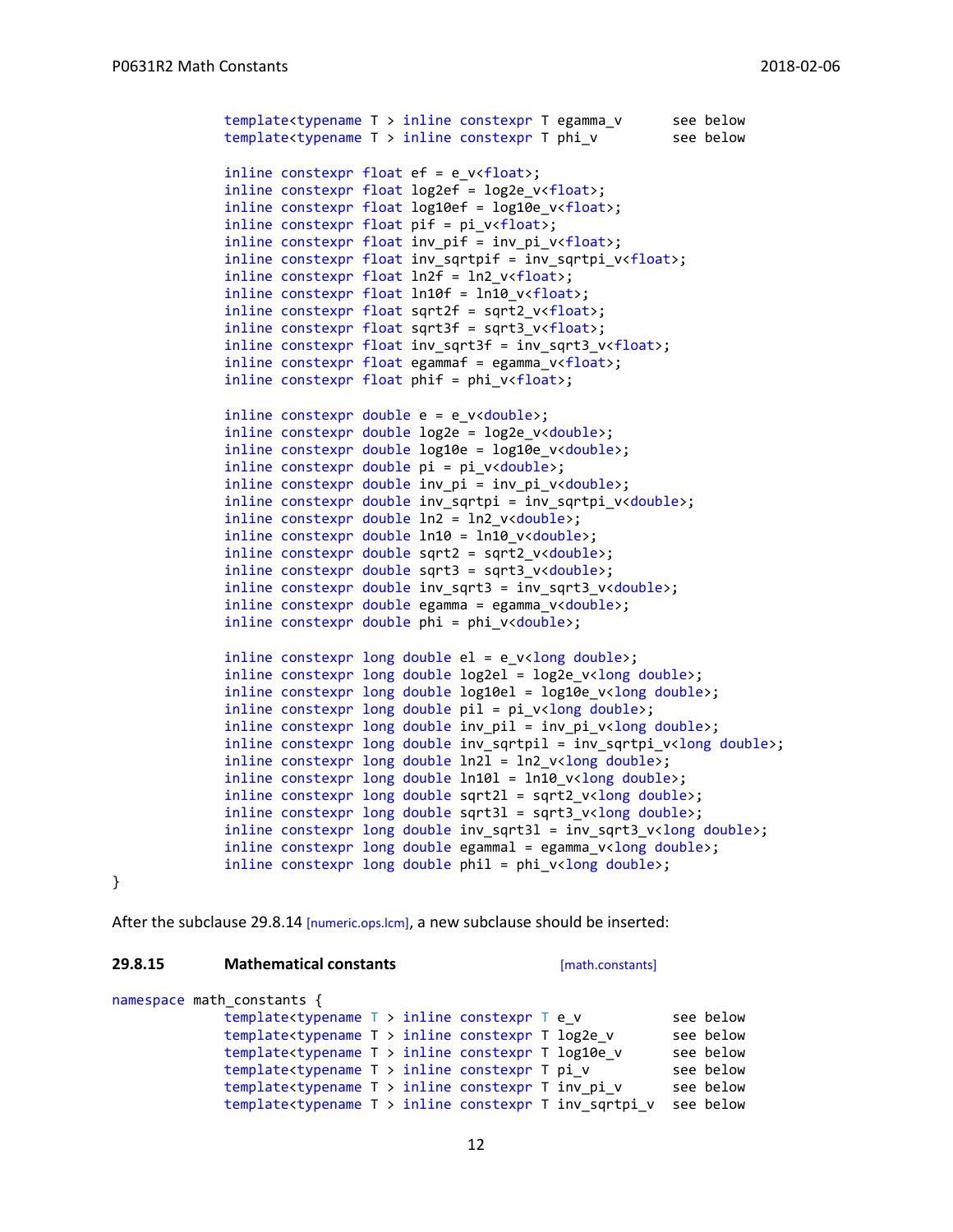```
template<typename T > inline constexpr T egamma_v see below
template<typename T > inline constexpr T phi vinline constexpr float ef = e_v<float>;
inline constexpr float log2ef = log2e_v<float>;
inline constexpr float log10ef = log10e v <float>;
inline constexpr float pi = pi v<float>;
inline constexpr float inv pif = inv pi v < float>;
inline constexpr float inv sqrtpif = inv sqrtpi v <float>;
inline constexpr float ln2f = ln2_v<float>;
inline constexpr float ln10f = ln10 v v<float>;
inline constexpr float sqrt2f = sqrt2 v <float>;
inline constexpr float sqrt3f = sqrt3 v<float>;
inline constexpr float inv_sqrt3f = inv_sqrt3_v<float>;
inline constexpr float egammaf = egamma_v<float>;
inline constexpr float phif = phi_v v<float>;
inline constexpr double e = e v<double>;
inline constexpr double log2e = log2e_v<double>;
inline constexpr double log10e = log10e v<double>;
inline constexpr double pi = pi v<double>;
inline constexpr double inv_pi = inv_pi_v<double>;
inline constexpr double inv_sqrtpi = inv_sqrtpi_v<double>;
inline constexpr double ln2 = ln2_v<double>;
inline constexpr double ln10 = ln10_v<double>;
inline constexpr double sqrt2 = sqrt2 v<double>;
inline constexpr double sqrt3 = sqrt3 v<double>;
inline constexpr double inv sqrt3 = inv sqrt3 v<double>;
inline constexpr double egamma = egamma_v<double>;
inline constexpr double phi = phi_v<double>;
inline constexpr long double el = e v<long double>;
inline constexpr long double log2el = log2e v<long double>;
inline constexpr long double log10el = log10e_v<long double>;
inline constexpr long double pil = pi_v<long double>;
inline constexpr long double inv_pil = inv_pi_v<long double>;
inline constexpr long double inv sqrtpil = inv sqrtpi v<long double>;
inline constexpr long double ln 2l = ln2 v<long double>;
inline constexpr long double ln10l = ln10 v<long double>;
inline constexpr long double sqrt2l = sqrt2_v<long double>;
inline constexpr long double sqrt31 = sqrt3_v<long double>;
inline constexpr long double inv_sqrt3l = inv_sqrt3_v<long double>;
inline constexpr long double egammal = egamma_v<long double>;
inline constexpr long double phil = phi_v<long double>;
```
}

After the subclause 29.8.14 [numeric.ops.lcm], a new subclause should be inserted:

#### **29.8.15 Mathematical constants** [math.constants]

```
namespace math_constants {
```

```
template<typename T > inline constexpr T e_v see below
template<typename T > inline constexpr T log2e_v see below<br>template<typename T > inline constexpr T log10e v see below
template<typename T > inline constexpr T log10e_v see below<br>template<typename T > inline constexpr T pi v see below
template<typename T > inline constexpr T pi_v see below<br>template<typename T > inline constexpr T inv pi v see below
template<typename T > inline constexpr T inv_pi_v
template<typename T > inline constexpr T inv_sqrtpi_v see below
```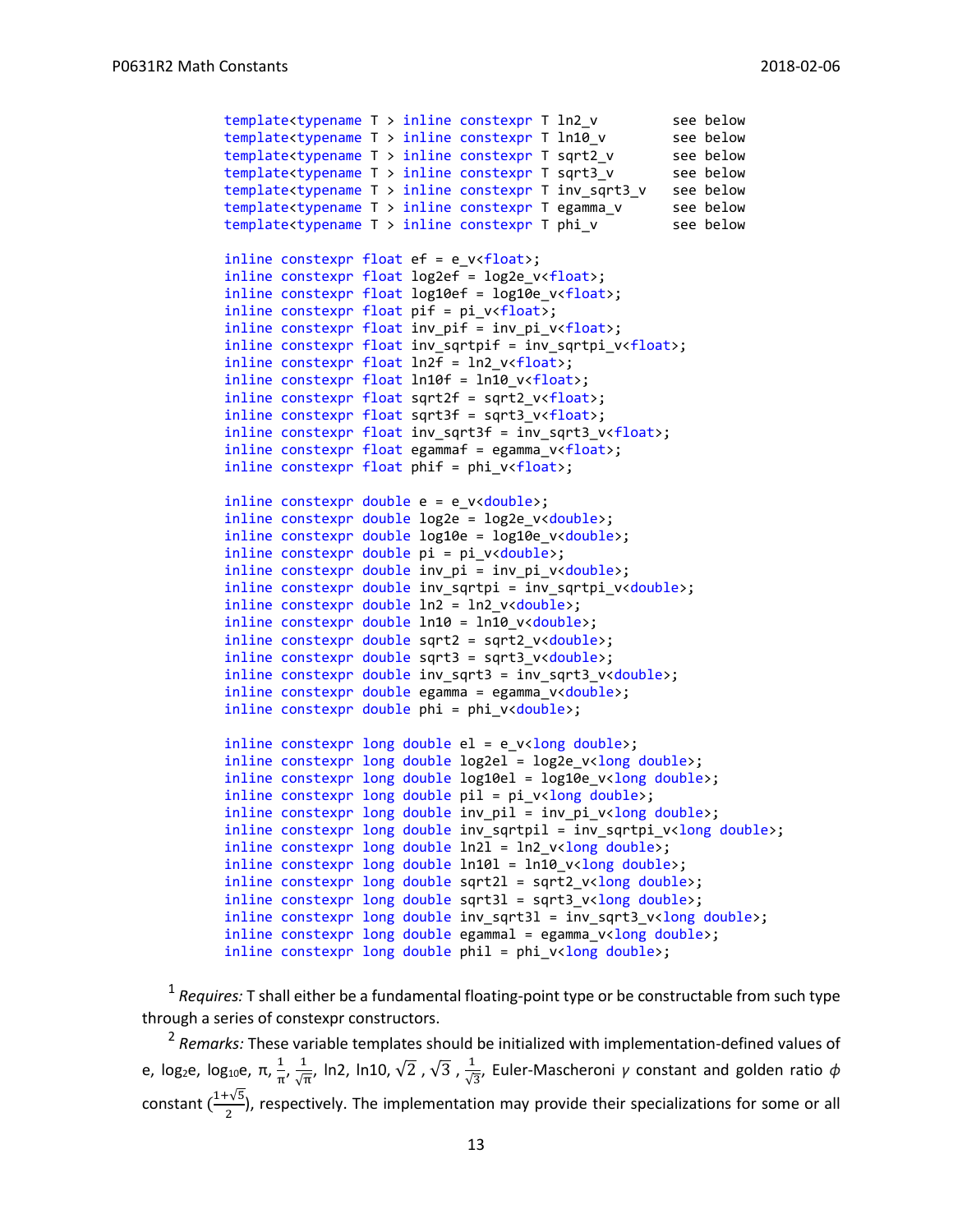```
template<typename T > inline constexpr T ln2_v see below
template<typename T > inline constexpr T ln10_v see below
template<typename T > inline constexpr T sqrt2_v see below
template<typename T > inline constexpr T sqrt3_v see below
template<typename T > inline constexpr T inv_sqrt3_v see below<br>template<typename T > inline constexpr T egamma v see below
template<typename T > inline constexpr T egamma_v
template<typename T > inline constexpr T phi_v see below
inline constexpr float ef = e v<float>;
inline constexpr float log2ef = log2e_v<float>;
inline constexpr float log10ef = log10e_v<float>;
inline constexpr float pif = pi_v<float>;
inline constexpr float inv_pif = inv_pi_v<float>;
inline constexpr float inv_sqrtpif = inv_sqrtpi_v<float>;
inline constexpr float ln2f = ln2_v<float>;
inline constexpr float ln10f = ln10_v<float>;
inline constexpr float sqrt2f = sqrt2 v <float>;
inline constexpr float sqrt3f = sqrt3 v <float>;
inline constexpr float inv_sqrt3f = inv_sqrt3_v<float>;
inline constexpr float egammaf = egamma_v<float>;
inline constexpr float phif = phi v {float};
inline constexpr double e = e_v<double>;
inline constexpr double log2e = log2e_v<double>;
inline constexpr double log10e = log10e_v<double>;
inline constexpr double pi = pi v<double>;
inline constexpr double inv_pi = inv pi v<double>;
inline constexpr double inv_sqrtpi = inv_sqrtpi_v<double>;
inline constexpr double ln2 = ln2_v<double>;
inline constexpr double ln10 = ln10_v<double>;
inline constexpr double sqrt2 = sqrt2 v<double>;
inline constexpr double sqrt3 = sqrt3_v<double>;
inline constexpr double inv_sqrt3 = inv_sqrt3_v<double>;
inline constexpr double egamma = egamma_v<double>;
inline constexpr double phi = phi_v<double>;
inline constexpr long double el = e_v<long double>;
inline constexpr long double log2el = log2e_v<long double>;
inline constexpr long double log10el = log10e_v<long double>;
inline constexpr long double pi = pi_v\timeslong double>;
inline constexpr long double inv_pil = inv_pi_v<long double>;
inline constexpr long double inv_sqrtpil = inv_sqrtpi_v<long double>;
inline constexpr long double ln2l = ln2_v<long double>;
inline constexpr long double ln10l = ln10_v<long double>;
inline constexpr long double sqrt2l = sqrt2 v<long double>;
inline constexpr long double sqrt31 = sqrt3_v<long double>;
inline constexpr long double inv_sqrt3l = inv_sqrt3_v<long double>;
inline constexpr long double egammal = egamma_v<long double>;
inline constexpr long double phil = phi v<long double>;
```
<sup>1</sup> Requires: T shall either be a fundamental floating-point type or be constructable from such type through a series of constexpr constructors.

2 *Remarks:* These variable templates should be initialized with implementation-defined values of e, log<sub>2</sub>e, log<sub>10</sub>e, π,  $\frac{1}{2}$  $\frac{1}{\pi}$ ,  $\frac{1}{\sqrt{1}}$  $\frac{1}{\sqrt{\pi}}$ , ln2, ln10,  $\sqrt{2}$  ,  $\sqrt{3}$  ,  $\frac{1}{\sqrt{3}}$ √3 , Euler-Mascheroni *γ* constant and golden ratio *ϕ* constant  $\left(\frac{1+\sqrt{5}}{2}\right)$  $\frac{1}{2}$ , respectively. The implementation may provide their specializations for some or all